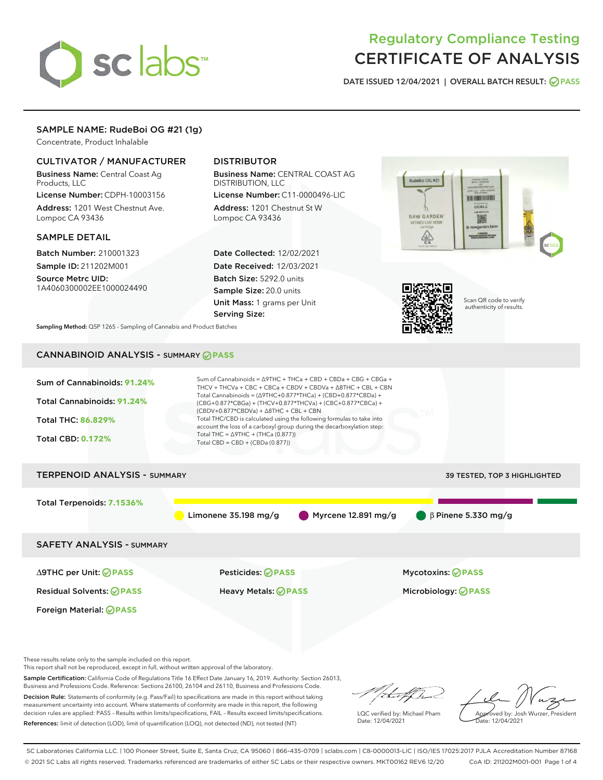# sclabs<sup>\*</sup>

# Regulatory Compliance Testing CERTIFICATE OF ANALYSIS

DATE ISSUED 12/04/2021 | OVERALL BATCH RESULT: @ PASS

#### SAMPLE NAME: RudeBoi OG #21 (1g)

Concentrate, Product Inhalable

#### CULTIVATOR / MANUFACTURER

Business Name: Central Coast Ag Products, LLC

License Number: CDPH-10003156 Address: 1201 West Chestnut Ave. Lompoc CA 93436

#### SAMPLE DETAIL

Batch Number: 210001323 Sample ID: 211202M001

Source Metrc UID: 1A4060300002EE1000024490

### DISTRIBUTOR

Business Name: CENTRAL COAST AG DISTRIBUTION, LLC License Number: C11-0000496-LIC

Address: 1201 Chestnut St W Lompoc CA 93436

Date Collected: 12/02/2021 Date Received: 12/03/2021 Batch Size: 5292.0 units Sample Size: 20.0 units Unit Mass: 1 grams per Unit Serving Size:





Scan QR code to verify authenticity of results.

Sampling Method: QSP 1265 - Sampling of Cannabis and Product Batches

## CANNABINOID ANALYSIS - SUMMARY **PASS**

| Sum of Cannabinoids: 91.24%<br>Total Cannabinoids: 91.24%<br>Total THC: 86.829%<br><b>Total CBD: 0.172%</b> | Sum of Cannabinoids = $\triangle$ 9THC + THCa + CBD + CBDa + CBG + CBGa +<br>THCV + THCVa + CBC + CBCa + CBDV + CBDVa + $\triangle$ 8THC + CBL + CBN<br>Total Cannabinoids = $(\Delta$ 9THC+0.877*THCa) + (CBD+0.877*CBDa) +<br>(CBG+0.877*CBGa) + (THCV+0.877*THCVa) + (CBC+0.877*CBCa) +<br>$(CBDV+0.877*CBDVa) + \Delta 8THC + CBL + CBN$<br>Total THC/CBD is calculated using the following formulas to take into<br>account the loss of a carboxyl group during the decarboxylation step:<br>Total THC = $\triangle$ 9THC + (THCa (0.877))<br>Total CBD = CBD + (CBDa (0.877)) |                                                  |
|-------------------------------------------------------------------------------------------------------------|-------------------------------------------------------------------------------------------------------------------------------------------------------------------------------------------------------------------------------------------------------------------------------------------------------------------------------------------------------------------------------------------------------------------------------------------------------------------------------------------------------------------------------------------------------------------------------------|--------------------------------------------------|
| <b>TERPENOID ANALYSIS - SUMMARY</b>                                                                         |                                                                                                                                                                                                                                                                                                                                                                                                                                                                                                                                                                                     | 39 TESTED, TOP 3 HIGHLIGHTED                     |
| Total Terpenoids: 7.1536%                                                                                   | Limonene $35.198$ mg/g                                                                                                                                                                                                                                                                                                                                                                                                                                                                                                                                                              | $\beta$ Pinene 5.330 mg/g<br>Myrcene 12.891 mg/g |
| <b>SAFETY ANALYSIS - SUMMARY</b>                                                                            |                                                                                                                                                                                                                                                                                                                                                                                                                                                                                                                                                                                     |                                                  |
| ∆9THC per Unit: ⊘PASS                                                                                       | Pesticides: ⊘PASS                                                                                                                                                                                                                                                                                                                                                                                                                                                                                                                                                                   | <b>Mycotoxins: ⊘PASS</b>                         |
| <b>Residual Solvents: ⊘PASS</b>                                                                             | Heavy Metals: <b>OPASS</b>                                                                                                                                                                                                                                                                                                                                                                                                                                                                                                                                                          | Microbiology: <b>⊘PASS</b>                       |
| Foreign Material: <b>⊘ PASS</b>                                                                             |                                                                                                                                                                                                                                                                                                                                                                                                                                                                                                                                                                                     |                                                  |

These results relate only to the sample included on this report.

This report shall not be reproduced, except in full, without written approval of the laboratory.

Sample Certification: California Code of Regulations Title 16 Effect Date January 16, 2019. Authority: Section 26013, Business and Professions Code. Reference: Sections 26100, 26104 and 26110, Business and Professions Code.

Decision Rule: Statements of conformity (e.g. Pass/Fail) to specifications are made in this report without taking measurement uncertainty into account. Where statements of conformity are made in this report, the following decision rules are applied: PASS – Results within limits/specifications, FAIL – Results exceed limits/specifications. References: limit of detection (LOD), limit of quantification (LOQ), not detected (ND), not tested (NT)

/italif ha

LQC verified by: Michael Pham Date: 12/04/2021

Approved by: Josh Wurzer, President Date: 12/04/2021

SC Laboratories California LLC. | 100 Pioneer Street, Suite E, Santa Cruz, CA 95060 | 866-435-0709 | sclabs.com | C8-0000013-LIC | ISO/IES 17025:2017 PJLA Accreditation Number 87168 © 2021 SC Labs all rights reserved. Trademarks referenced are trademarks of either SC Labs or their respective owners. MKT00162 REV6 12/20 CoA ID: 211202M001-001 Page 1 of 4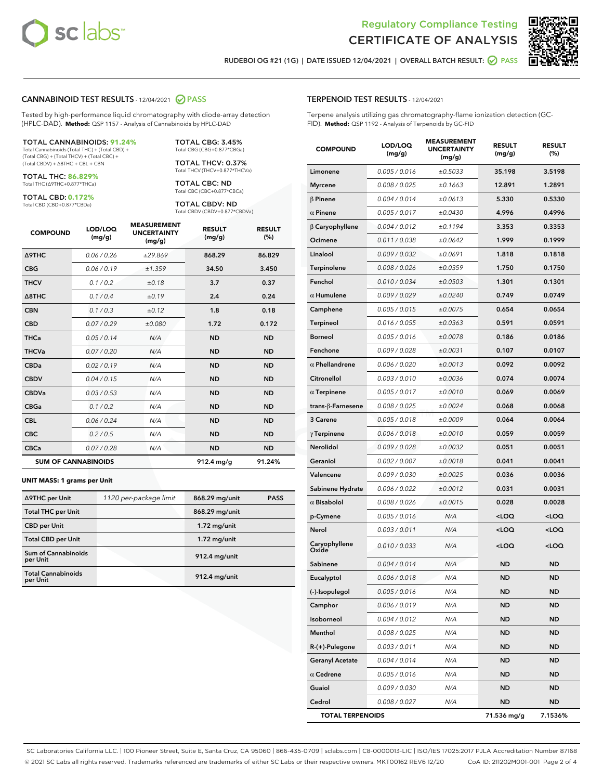



RUDEBOI OG #21 (1G) | DATE ISSUED 12/04/2021 | OVERALL BATCH RESULT: **● PASS** 

#### CANNABINOID TEST RESULTS - 12/04/2021 2 PASS

Tested by high-performance liquid chromatography with diode-array detection (HPLC-DAD). **Method:** QSP 1157 - Analysis of Cannabinoids by HPLC-DAD

#### TOTAL CANNABINOIDS: **91.24%**

Total Cannabinoids (Total THC) + (Total CBD) + (Total CBG) + (Total THCV) + (Total CBC) + (Total CBDV) + ∆8THC + CBL + CBN

TOTAL THC: **86.829%** Total THC (∆9THC+0.877\*THCa)

TOTAL CBD: **0.172%**

Total CBD (CBD+0.877\*CBDa)

TOTAL CBG: 3.45% Total CBG (CBG+0.877\*CBGa)

TOTAL THCV: 0.37% Total THCV (THCV+0.877\*THCVa)

TOTAL CBC: ND Total CBC (CBC+0.877\*CBCa)

TOTAL CBDV: ND Total CBDV (CBDV+0.877\*CBDVa)

| <b>COMPOUND</b>            | LOD/LOQ<br>(mg/g) | <b>MEASUREMENT</b><br><b>UNCERTAINTY</b><br>(mg/g) | <b>RESULT</b><br>(mg/g) | <b>RESULT</b><br>(%) |
|----------------------------|-------------------|----------------------------------------------------|-------------------------|----------------------|
| Δ9THC                      | 0.06 / 0.26       | ±29.869                                            | 868.29                  | 86.829               |
| <b>CBG</b>                 | 0.06/0.19         | ±1.359                                             | 34.50                   | 3.450                |
| <b>THCV</b>                | 0.1 / 0.2         | ±0.18                                              | 3.7                     | 0.37                 |
| $\triangle$ 8THC           | 0.1/0.4           | ±0.19                                              | 2.4                     | 0.24                 |
| <b>CBN</b>                 | 0.1/0.3           | ±0.12                                              | 1.8                     | 0.18                 |
| <b>CBD</b>                 | 0.07/0.29         | ±0.080                                             | 1.72                    | 0.172                |
| <b>THCa</b>                | 0.05/0.14         | N/A                                                | <b>ND</b>               | <b>ND</b>            |
| <b>THCVa</b>               | 0.07/0.20         | N/A                                                | <b>ND</b>               | <b>ND</b>            |
| <b>CBDa</b>                | 0.02/0.19         | N/A                                                | <b>ND</b>               | <b>ND</b>            |
| <b>CBDV</b>                | 0.04 / 0.15       | N/A                                                | <b>ND</b>               | <b>ND</b>            |
| <b>CBDVa</b>               | 0.03/0.53         | N/A                                                | <b>ND</b>               | <b>ND</b>            |
| <b>CBGa</b>                | 0.1/0.2           | N/A                                                | <b>ND</b>               | <b>ND</b>            |
| <b>CBL</b>                 | 0.06 / 0.24       | N/A                                                | <b>ND</b>               | <b>ND</b>            |
| <b>CBC</b>                 | 0.2 / 0.5         | N/A                                                | <b>ND</b>               | <b>ND</b>            |
| <b>CBCa</b>                | 0.07/0.28         | N/A                                                | <b>ND</b>               | <b>ND</b>            |
| <b>SUM OF CANNABINOIDS</b> |                   |                                                    | $912.4 \text{ mg/g}$    | 91.24%               |

#### **UNIT MASS: 1 grams per Unit**

| ∆9THC per Unit                         | 1120 per-package limit | 868.29 mg/unit  | <b>PASS</b> |
|----------------------------------------|------------------------|-----------------|-------------|
| <b>Total THC per Unit</b>              |                        | 868.29 mg/unit  |             |
| <b>CBD per Unit</b>                    |                        | $1.72$ mg/unit  |             |
| <b>Total CBD per Unit</b>              |                        | $1.72$ mg/unit  |             |
| <b>Sum of Cannabinoids</b><br>per Unit |                        | 912.4 mg/unit   |             |
| <b>Total Cannabinoids</b><br>per Unit  |                        | $912.4$ mg/unit |             |

| erpene analysis utilizing gas chromatography-flame ionization detection (GC-<br>ID). Method: QSP 1192 - Analysis of Terpenoids by GC-FID |                   |                                                    |                         |                      |  |  |
|------------------------------------------------------------------------------------------------------------------------------------------|-------------------|----------------------------------------------------|-------------------------|----------------------|--|--|
| <b>COMPOUND</b>                                                                                                                          | LOD/LOQ<br>(mg/g) | <b>MEASUREMENT</b><br><b>UNCERTAINTY</b><br>(mg/g) | <b>RESULT</b><br>(mg/g) | <b>RESULT</b><br>(%) |  |  |
| Limonene                                                                                                                                 | 0.005 / 0.016     | ±0.5033                                            | 35.198                  | 3.5198               |  |  |
| <b>Myrcene</b>                                                                                                                           | 0.008 / 0.025     | ±0.1663                                            | 12.891                  | 1.2891               |  |  |
| <b>B</b> Pinene                                                                                                                          | 0.004 / 0.014     | ±0.0613                                            | 5.330                   | 0.5330               |  |  |
| $\alpha$ Pinene                                                                                                                          | 0.005 / 0.017     | ±0.0430                                            | 4.996                   | 0.4996               |  |  |
| β Caryophyllene                                                                                                                          | 0.004 / 0.012     | ±0.1194                                            | 3.353                   | 0.3353               |  |  |
| Ocimene                                                                                                                                  | 0.011 / 0.038     | ±0.0642                                            | 1.999                   | 0.1999               |  |  |
| Linalool                                                                                                                                 | 0.009 / 0.032     | ±0.0691                                            | 1.818                   | 0.1818               |  |  |
| Terpinolene                                                                                                                              | 0.008 / 0.026     | ±0.0359                                            | 1.750                   | 0.1750               |  |  |
| Fenchol                                                                                                                                  | 0.010 / 0.034     | ±0.0503                                            | 1.301                   | 0.1301               |  |  |
| $\alpha$ Humulene                                                                                                                        | 0.009/0.029       | ±0.0240                                            | 0.749                   | 0.0749               |  |  |
| Camphene                                                                                                                                 | 0.005 / 0.015     | ±0.0075                                            | 0.654                   | 0.0654               |  |  |
| Terpineol                                                                                                                                | 0.016 / 0.055     | ±0.0363                                            | 0.591                   | 0.0591               |  |  |
| Borneol                                                                                                                                  | 0.005 / 0.016     | ±0.0078                                            | 0.186                   | 0.0186               |  |  |
| Fenchone                                                                                                                                 | 0.009 / 0.028     | ±0.0031                                            | 0.107                   | 0.0107               |  |  |
| $\alpha$ Phellandrene                                                                                                                    | 0.006 / 0.020     | ±0.0013                                            | 0.092                   | 0.0092               |  |  |
| Citronellol                                                                                                                              | 0.003/0.010       | ±0.0036                                            | 0.074                   | 0.0074               |  |  |
| $\alpha$ Terpinene                                                                                                                       | 0.005 / 0.017     | ±0.0010                                            | 0.069                   | 0.0069               |  |  |
| trans-β-Farnesene                                                                                                                        | 0.008 / 0.025     | ±0.0024                                            | 0.068                   | 0.0068               |  |  |
|                                                                                                                                          |                   |                                                    |                         |                      |  |  |

| <b>TOTAL TERPENOIDS</b> |               |         | 71.536 mg/g | 7.1536%   |
|-------------------------|---------------|---------|-------------|-----------|
| Cedrol                  | 0.008 / 0.027 | N/A     | <b>ND</b>   | <b>ND</b> |
| Guaiol                  | 0.009 / 0.030 | N/A     | <b>ND</b>   | <b>ND</b> |
| $\alpha$ Cedrene        | 0.005 / 0.016 | N/A     | <b>ND</b>   | <b>ND</b> |
| <b>Geranyl Acetate</b>  | 0.004 / 0.014 | N/A     | <b>ND</b>   | <b>ND</b> |
| $R-(+)$ -Pulegone       | 0.003 / 0.011 | N/A     | <b>ND</b>   | <b>ND</b> |
| Menthol                 | 0.008 / 0.025 | N/A     | <b>ND</b>   | <b>ND</b> |
| Isoborneol              | 0.004/0.012   | N/A     | <b>ND</b>   | <b>ND</b> |
| Camphor                 | 0.006 / 0.019 | N/A     | <b>ND</b>   | <b>ND</b> |
| (-)-Isopulegol          | 0.005 / 0.016 | N/A     | <b>ND</b>   | <b>ND</b> |
| Eucalyptol              | 0.006 / 0.018 | N/A     | <b>ND</b>   | <b>ND</b> |
| Sabinene                | 0.004 / 0.014 | N/A     | <b>ND</b>   | <b>ND</b> |
| Caryophyllene<br>Oxide  | 0.010 / 0.033 | N/A     | $<$ LOQ     | $<$ LOQ   |
| Nerol                   | 0.003/0.011   | N/A     | $<$ LOQ     | $<$ LOQ   |
| p-Cymene                | 0.005 / 0.016 | N/A     | $<$ LOQ     | $<$ LOQ   |
| $\alpha$ Bisabolol      | 0.008/0.026   | ±0.0015 | 0.028       | 0.0028    |
| Sabinene Hydrate        | 0.006 / 0.022 | ±0.0012 | 0.031       | 0.0031    |
| Valencene               | 0.009 / 0.030 | ±0.0025 | 0.036       | 0.0036    |
| Geraniol                | 0.002 / 0.007 | ±0.0018 | 0.041       | 0.0041    |
| Nerolidol               | 0.009/0.028   | ±0.0032 | 0.051       | 0.0051    |
| $\gamma$ Terpinene      | 0.006 / 0.018 | ±0.0010 | 0.059       | 0.0059    |
| 3 Carene                | 0.005 / 0.018 | ±0.0009 | 0.064       | 0.0064    |

SC Laboratories California LLC. | 100 Pioneer Street, Suite E, Santa Cruz, CA 95060 | 866-435-0709 | sclabs.com | C8-0000013-LIC | ISO/IES 17025:2017 PJLA Accreditation Number 87168 © 2021 SC Labs all rights reserved. Trademarks referenced are trademarks of either SC Labs or their respective owners. MKT00162 REV6 12/20 CoA ID: 211202M001-001 Page 2 of 4

#### TERPENOID TEST RESULTS - 12/04/2021

Terpene analysis utilizing gas chromatography-flame ionization detection (GC-FID). **Method:** QSP 1192 - Analysis of Terpenoids by GC-FID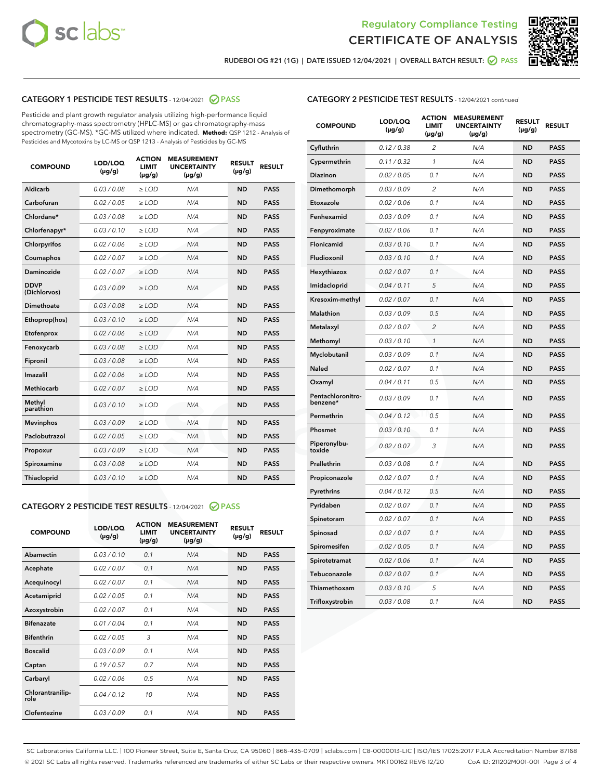



RUDEBOI OG #21 (1G) | DATE ISSUED 12/04/2021 | OVERALL BATCH RESULT:  $\bigcirc$  PASS

#### CATEGORY 1 PESTICIDE TEST RESULTS - 12/04/2021 2 PASS

Pesticide and plant growth regulator analysis utilizing high-performance liquid chromatography-mass spectrometry (HPLC-MS) or gas chromatography-mass spectrometry (GC-MS). \*GC-MS utilized where indicated. **Method:** QSP 1212 - Analysis of Pesticides and Mycotoxins by LC-MS or QSP 1213 - Analysis of Pesticides by GC-MS

| <b>COMPOUND</b>             | LOD/LOQ<br>$(\mu g/g)$ | <b>ACTION</b><br>LIMIT<br>$(\mu g/g)$ | <b>MEASUREMENT</b><br><b>UNCERTAINTY</b><br>$(\mu g/g)$ | <b>RESULT</b><br>$(\mu g/g)$ | <b>RESULT</b> |
|-----------------------------|------------------------|---------------------------------------|---------------------------------------------------------|------------------------------|---------------|
| Aldicarb                    | 0.03 / 0.08            | $\ge$ LOD                             | N/A                                                     | <b>ND</b>                    | <b>PASS</b>   |
| Carbofuran                  | 0.02 / 0.05            | $>$ LOD                               | N/A                                                     | <b>ND</b>                    | <b>PASS</b>   |
| Chlordane*                  | 0.03 / 0.08            | $>$ LOD                               | N/A                                                     | <b>ND</b>                    | <b>PASS</b>   |
| Chlorfenapyr*               | 0.03 / 0.10            | ≥ LOD                                 | N/A                                                     | <b>ND</b>                    | <b>PASS</b>   |
| Chlorpyrifos                | 0.02 / 0.06            | $\geq$ LOD                            | N/A                                                     | <b>ND</b>                    | <b>PASS</b>   |
| Coumaphos                   | 0.02 / 0.07            | $>$ LOD                               | N/A                                                     | <b>ND</b>                    | <b>PASS</b>   |
| <b>Daminozide</b>           | 0.02 / 0.07            | $\ge$ LOD                             | N/A                                                     | <b>ND</b>                    | <b>PASS</b>   |
| <b>DDVP</b><br>(Dichlorvos) | 0.03/0.09              | $\geq$ LOD                            | N/A                                                     | <b>ND</b>                    | <b>PASS</b>   |
| Dimethoate                  | 0.03 / 0.08            | $>$ LOD                               | N/A                                                     | <b>ND</b>                    | <b>PASS</b>   |
| Ethoprop(hos)               | 0.03/0.10              | $>$ LOD                               | N/A                                                     | <b>ND</b>                    | <b>PASS</b>   |
| Etofenprox                  | 0.02 / 0.06            | $>$ LOD                               | N/A                                                     | <b>ND</b>                    | <b>PASS</b>   |
| Fenoxycarb                  | 0.03 / 0.08            | $>$ LOD                               | N/A                                                     | <b>ND</b>                    | <b>PASS</b>   |
| Fipronil                    | 0.03 / 0.08            | $\geq$ LOD                            | N/A                                                     | <b>ND</b>                    | <b>PASS</b>   |
| Imazalil                    | 0.02 / 0.06            | $\geq$ LOD                            | N/A                                                     | <b>ND</b>                    | <b>PASS</b>   |
| Methiocarb                  | 0.02 / 0.07            | $>$ LOD                               | N/A                                                     | <b>ND</b>                    | <b>PASS</b>   |
| Methyl<br>parathion         | 0.03/0.10              | $\ge$ LOD                             | N/A                                                     | <b>ND</b>                    | <b>PASS</b>   |
| <b>Mevinphos</b>            | 0.03/0.09              | $>$ LOD                               | N/A                                                     | <b>ND</b>                    | <b>PASS</b>   |
| Paclobutrazol               | 0.02 / 0.05            | $\ge$ LOD                             | N/A                                                     | <b>ND</b>                    | <b>PASS</b>   |
| Propoxur                    | 0.03/0.09              | $\geq$ LOD                            | N/A                                                     | <b>ND</b>                    | <b>PASS</b>   |
| Spiroxamine                 | 0.03 / 0.08            | $\ge$ LOD                             | N/A                                                     | <b>ND</b>                    | <b>PASS</b>   |
| Thiacloprid                 | 0.03/0.10              | $\ge$ LOD                             | N/A                                                     | <b>ND</b>                    | <b>PASS</b>   |

#### CATEGORY 2 PESTICIDE TEST RESULTS - 12/04/2021 @ PASS

| <b>COMPOUND</b>          | LOD/LOQ<br>$(\mu g/g)$ | <b>ACTION</b><br><b>LIMIT</b><br>$(\mu g/g)$ | <b>MEASUREMENT</b><br><b>UNCERTAINTY</b><br>$(\mu g/g)$ | <b>RESULT</b><br>$(\mu g/g)$ | <b>RESULT</b> |
|--------------------------|------------------------|----------------------------------------------|---------------------------------------------------------|------------------------------|---------------|
| Abamectin                | 0.03/0.10              | 0.1                                          | N/A                                                     | <b>ND</b>                    | <b>PASS</b>   |
| Acephate                 | 0.02/0.07              | 0.1                                          | N/A                                                     | <b>ND</b>                    | <b>PASS</b>   |
| Acequinocyl              | 0.02/0.07              | 0.1                                          | N/A                                                     | <b>ND</b>                    | <b>PASS</b>   |
| Acetamiprid              | 0.02/0.05              | 0.1                                          | N/A                                                     | <b>ND</b>                    | <b>PASS</b>   |
| Azoxystrobin             | 0.02/0.07              | 0.1                                          | N/A                                                     | <b>ND</b>                    | <b>PASS</b>   |
| <b>Bifenazate</b>        | 0.01/0.04              | 0.1                                          | N/A                                                     | <b>ND</b>                    | <b>PASS</b>   |
| <b>Bifenthrin</b>        | 0.02/0.05              | 3                                            | N/A                                                     | <b>ND</b>                    | <b>PASS</b>   |
| <b>Boscalid</b>          | 0.03/0.09              | 0.1                                          | N/A                                                     | <b>ND</b>                    | <b>PASS</b>   |
| Captan                   | 0.19/0.57              | 0.7                                          | N/A                                                     | <b>ND</b>                    | <b>PASS</b>   |
| Carbaryl                 | 0.02/0.06              | 0.5                                          | N/A                                                     | <b>ND</b>                    | <b>PASS</b>   |
| Chlorantranilip-<br>role | 0.04/0.12              | 10                                           | N/A                                                     | <b>ND</b>                    | <b>PASS</b>   |
| Clofentezine             | 0.03/0.09              | 0.1                                          | N/A                                                     | <b>ND</b>                    | <b>PASS</b>   |

#### CATEGORY 2 PESTICIDE TEST RESULTS - 12/04/2021 continued

| <b>COMPOUND</b>               | LOD/LOQ<br>(µg/g) | <b>ACTION</b><br>LIMIT<br>$(\mu g/g)$ | <b>MEASUREMENT</b><br><b>UNCERTAINTY</b><br>$(\mu g/g)$ | <b>RESULT</b><br>(µg/g) | <b>RESULT</b> |
|-------------------------------|-------------------|---------------------------------------|---------------------------------------------------------|-------------------------|---------------|
| Cyfluthrin                    | 0.12 / 0.38       | $\overline{c}$                        | N/A                                                     | ND                      | <b>PASS</b>   |
| Cypermethrin                  | 0.11 / 0.32       | $\mathcal{I}$                         | N/A                                                     | ND                      | PASS          |
| <b>Diazinon</b>               | 0.02 / 0.05       | 0.1                                   | N/A                                                     | <b>ND</b>               | <b>PASS</b>   |
| Dimethomorph                  | 0.03 / 0.09       | $\overline{2}$                        | N/A                                                     | ND                      | <b>PASS</b>   |
| Etoxazole                     | 0.02 / 0.06       | 0.1                                   | N/A                                                     | ND                      | <b>PASS</b>   |
| Fenhexamid                    | 0.03 / 0.09       | 0.1                                   | N/A                                                     | <b>ND</b>               | <b>PASS</b>   |
| Fenpyroximate                 | 0.02 / 0.06       | 0.1                                   | N/A                                                     | <b>ND</b>               | <b>PASS</b>   |
| Flonicamid                    | 0.03 / 0.10       | 0.1                                   | N/A                                                     | ND                      | PASS          |
| Fludioxonil                   | 0.03 / 0.10       | 0.1                                   | N/A                                                     | ND                      | <b>PASS</b>   |
| Hexythiazox                   | 0.02 / 0.07       | 0.1                                   | N/A                                                     | ND                      | <b>PASS</b>   |
| Imidacloprid                  | 0.04 / 0.11       | 5                                     | N/A                                                     | ND                      | PASS          |
| Kresoxim-methyl               | 0.02 / 0.07       | 0.1                                   | N/A                                                     | ND                      | <b>PASS</b>   |
| <b>Malathion</b>              | 0.03 / 0.09       | 0.5                                   | N/A                                                     | <b>ND</b>               | <b>PASS</b>   |
| Metalaxyl                     | 0.02 / 0.07       | $\overline{c}$                        | N/A                                                     | ND                      | <b>PASS</b>   |
| Methomyl                      | 0.03 / 0.10       | 1                                     | N/A                                                     | <b>ND</b>               | <b>PASS</b>   |
| Myclobutanil                  | 0.03 / 0.09       | 0.1                                   | N/A                                                     | ND                      | <b>PASS</b>   |
| Naled                         | 0.02 / 0.07       | 0.1                                   | N/A                                                     | ND                      | <b>PASS</b>   |
| Oxamyl                        | 0.04 / 0.11       | 0.5                                   | N/A                                                     | ND                      | <b>PASS</b>   |
| Pentachloronitro-<br>benzene* | 0.03 / 0.09       | 0.1                                   | N/A                                                     | ND                      | <b>PASS</b>   |
| Permethrin                    | 0.04 / 0.12       | 0.5                                   | N/A                                                     | ND                      | <b>PASS</b>   |
| Phosmet                       | 0.03 / 0.10       | 0.1                                   | N/A                                                     | ND                      | <b>PASS</b>   |
| Piperonylbu-<br>toxide        | 0.02 / 0.07       | 3                                     | N/A                                                     | <b>ND</b>               | <b>PASS</b>   |
| Prallethrin                   | 0.03 / 0.08       | 0.1                                   | N/A                                                     | ND                      | <b>PASS</b>   |
| Propiconazole                 | 0.02 / 0.07       | 0.1                                   | N/A                                                     | ND                      | <b>PASS</b>   |
| Pyrethrins                    | 0.04 / 0.12       | 0.5                                   | N/A                                                     | ND                      | <b>PASS</b>   |
| Pyridaben                     | 0.02 / 0.07       | 0.1                                   | N/A                                                     | ND                      | <b>PASS</b>   |
| Spinetoram                    | 0.02 / 0.07       | 0.1                                   | N/A                                                     | ND                      | <b>PASS</b>   |
| Spinosad                      | 0.02 / 0.07       | 0.1                                   | N/A                                                     | ND                      | <b>PASS</b>   |
| Spiromesifen                  | 0.02 / 0.05       | 0.1                                   | N/A                                                     | <b>ND</b>               | <b>PASS</b>   |
| Spirotetramat                 | 0.02 / 0.06       | 0.1                                   | N/A                                                     | ND                      | <b>PASS</b>   |
| Tebuconazole                  | 0.02 / 0.07       | 0.1                                   | N/A                                                     | ND                      | PASS          |
| Thiamethoxam                  | 0.03 / 0.10       | 5                                     | N/A                                                     | ND                      | <b>PASS</b>   |
| Trifloxystrobin               | 0.03 / 0.08       | 0.1                                   | N/A                                                     | <b>ND</b>               | <b>PASS</b>   |

SC Laboratories California LLC. | 100 Pioneer Street, Suite E, Santa Cruz, CA 95060 | 866-435-0709 | sclabs.com | C8-0000013-LIC | ISO/IES 17025:2017 PJLA Accreditation Number 87168 © 2021 SC Labs all rights reserved. Trademarks referenced are trademarks of either SC Labs or their respective owners. MKT00162 REV6 12/20 CoA ID: 211202M001-001 Page 3 of 4